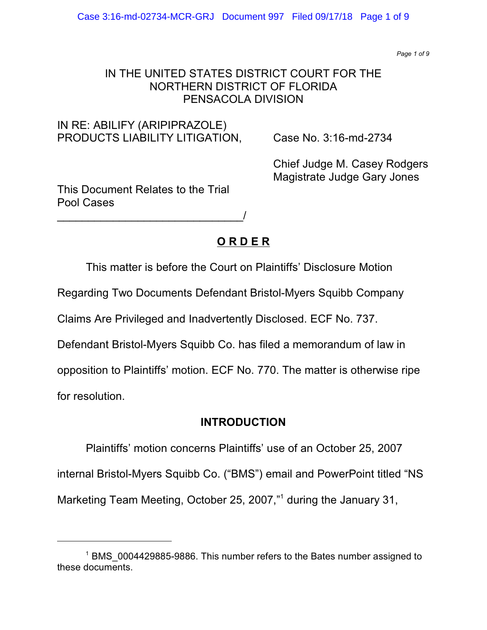*Page 1 of 9*

## IN THE UNITED STATES DISTRICT COURT FOR THE NORTHERN DISTRICT OF FLORIDA PENSACOLA DIVISION

IN RE: ABILIFY (ARIPIPRAZOLE) PRODUCTS LIABILITY LITIGATION, Case No. 3:16-md-2734

 Chief Judge M. Casey Rodgers Magistrate Judge Gary Jones

This Document Relates to the Trial Pool Cases

\_\_\_\_\_\_\_\_\_\_\_\_\_\_\_\_\_\_\_\_\_\_\_\_\_\_\_\_\_\_/

# **O R D E R**

This matter is before the Court on Plaintiffs' Disclosure Motion

Regarding Two Documents Defendant Bristol-Myers Squibb Company

Claims Are Privileged and Inadvertently Disclosed. ECF No. 737.

Defendant Bristol-Myers Squibb Co. has filed a memorandum of law in

opposition to Plaintiffs' motion. ECF No. 770. The matter is otherwise ripe

for resolution.

### **INTRODUCTION**

Plaintiffs' motion concerns Plaintiffs' use of an October 25, 2007 internal Bristol-Myers Squibb Co. ("BMS") email and PowerPoint titled "NS Marketing Team Meeting, October 25, 2007,"<sup>1</sup> during the January 31,

 $1$  BMS 0004429885-9886. This number refers to the Bates number assigned to these documents.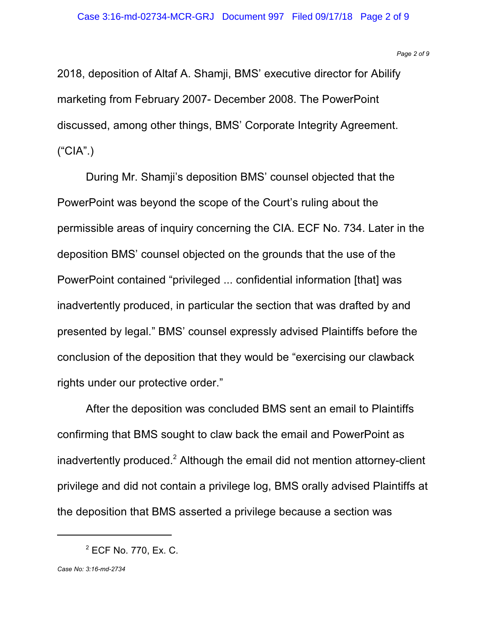*Page 2 of 9*

2018, deposition of Altaf A. Shamji, BMS' executive director for Abilify marketing from February 2007- December 2008. The PowerPoint discussed, among other things, BMS' Corporate Integrity Agreement. ("CIA".)

During Mr. Shamji's deposition BMS' counsel objected that the PowerPoint was beyond the scope of the Court's ruling about the permissible areas of inquiry concerning the CIA. ECF No. 734. Later in the deposition BMS' counsel objected on the grounds that the use of the PowerPoint contained "privileged ... confidential information [that] was inadvertently produced, in particular the section that was drafted by and presented by legal." BMS' counsel expressly advised Plaintiffs before the conclusion of the deposition that they would be "exercising our clawback rights under our protective order."

After the deposition was concluded BMS sent an email to Plaintiffs confirming that BMS sought to claw back the email and PowerPoint as inadvertently produced. $2$  Although the email did not mention attorney-client privilege and did not contain a privilege log, BMS orally advised Plaintiffs at the deposition that BMS asserted a privilege because a section was

<sup>&</sup>lt;sup>2</sup> ECF No. 770, Ex. C.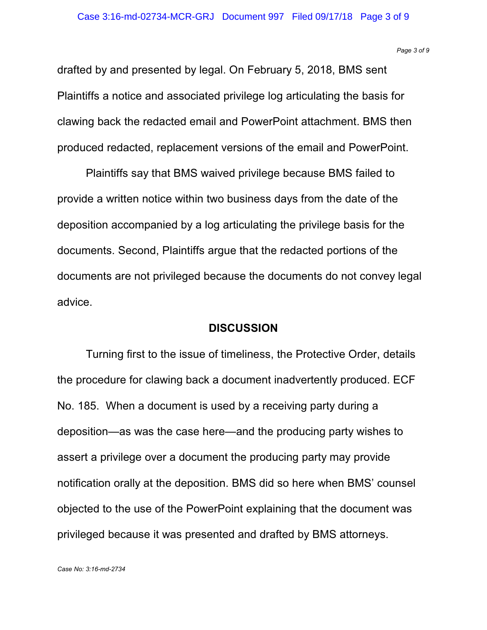*Page 3 of 9*

drafted by and presented by legal. On February 5, 2018, BMS sent Plaintiffs a notice and associated privilege log articulating the basis for clawing back the redacted email and PowerPoint attachment. BMS then produced redacted, replacement versions of the email and PowerPoint.

Plaintiffs say that BMS waived privilege because BMS failed to provide a written notice within two business days from the date of the deposition accompanied by a log articulating the privilege basis for the documents. Second, Plaintiffs argue that the redacted portions of the documents are not privileged because the documents do not convey legal advice.

#### **DISCUSSION**

Turning first to the issue of timeliness, the Protective Order, details the procedure for clawing back a document inadvertently produced. ECF No. 185. When a document is used by a receiving party during a deposition—as was the case here—and the producing party wishes to assert a privilege over a document the producing party may provide notification orally at the deposition. BMS did so here when BMS' counsel objected to the use of the PowerPoint explaining that the document was privileged because it was presented and drafted by BMS attorneys.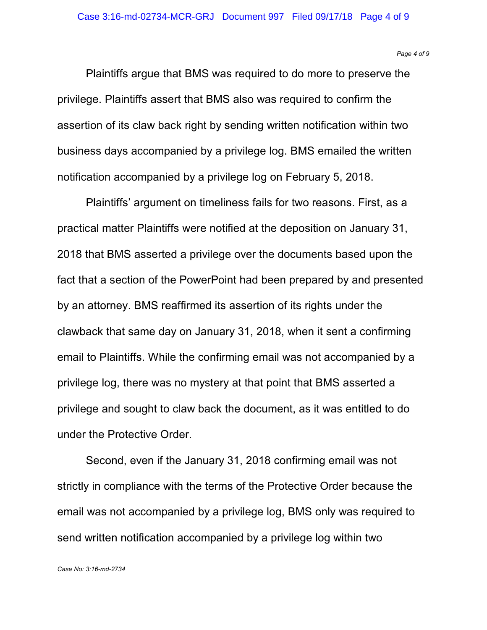*Page 4 of 9*

Plaintiffs argue that BMS was required to do more to preserve the privilege. Plaintiffs assert that BMS also was required to confirm the assertion of its claw back right by sending written notification within two business days accompanied by a privilege log. BMS emailed the written notification accompanied by a privilege log on February 5, 2018.

Plaintiffs' argument on timeliness fails for two reasons. First, as a practical matter Plaintiffs were notified at the deposition on January 31, 2018 that BMS asserted a privilege over the documents based upon the fact that a section of the PowerPoint had been prepared by and presented by an attorney. BMS reaffirmed its assertion of its rights under the clawback that same day on January 31, 2018, when it sent a confirming email to Plaintiffs. While the confirming email was not accompanied by a privilege log, there was no mystery at that point that BMS asserted a privilege and sought to claw back the document, as it was entitled to do under the Protective Order.

Second, even if the January 31, 2018 confirming email was not strictly in compliance with the terms of the Protective Order because the email was not accompanied by a privilege log, BMS only was required to send written notification accompanied by a privilege log within two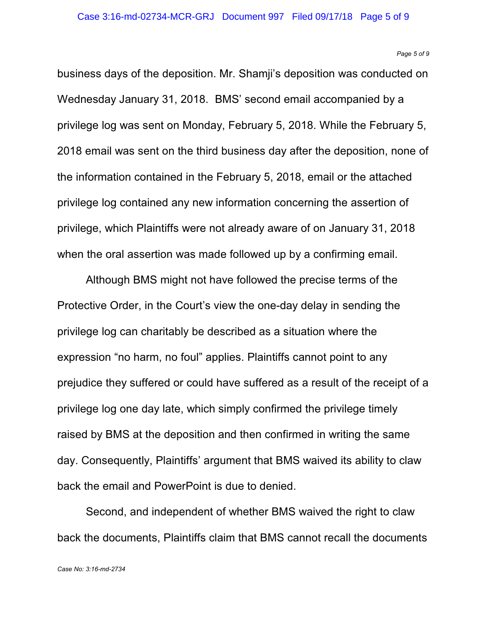#### *Page 5 of 9*

business days of the deposition. Mr. Shamji's deposition was conducted on Wednesday January 31, 2018. BMS' second email accompanied by a privilege log was sent on Monday, February 5, 2018. While the February 5, 2018 email was sent on the third business day after the deposition, none of the information contained in the February 5, 2018, email or the attached privilege log contained any new information concerning the assertion of privilege, which Plaintiffs were not already aware of on January 31, 2018 when the oral assertion was made followed up by a confirming email.

Although BMS might not have followed the precise terms of the Protective Order, in the Court's view the one-day delay in sending the privilege log can charitably be described as a situation where the expression "no harm, no foul" applies. Plaintiffs cannot point to any prejudice they suffered or could have suffered as a result of the receipt of a privilege log one day late, which simply confirmed the privilege timely raised by BMS at the deposition and then confirmed in writing the same day. Consequently, Plaintiffs' argument that BMS waived its ability to claw back the email and PowerPoint is due to denied.

Second, and independent of whether BMS waived the right to claw back the documents, Plaintiffs claim that BMS cannot recall the documents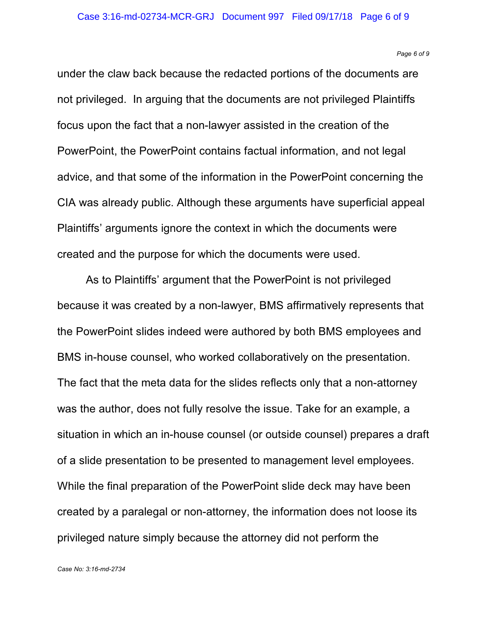*Page 6 of 9*

under the claw back because the redacted portions of the documents are not privileged. In arguing that the documents are not privileged Plaintiffs focus upon the fact that a non-lawyer assisted in the creation of the PowerPoint, the PowerPoint contains factual information, and not legal advice, and that some of the information in the PowerPoint concerning the CIA was already public. Although these arguments have superficial appeal Plaintiffs' arguments ignore the context in which the documents were created and the purpose for which the documents were used.

As to Plaintiffs' argument that the PowerPoint is not privileged because it was created by a non-lawyer, BMS affirmatively represents that the PowerPoint slides indeed were authored by both BMS employees and BMS in-house counsel, who worked collaboratively on the presentation. The fact that the meta data for the slides reflects only that a non-attorney was the author, does not fully resolve the issue. Take for an example, a situation in which an in-house counsel (or outside counsel) prepares a draft of a slide presentation to be presented to management level employees. While the final preparation of the PowerPoint slide deck may have been created by a paralegal or non-attorney, the information does not loose its privileged nature simply because the attorney did not perform the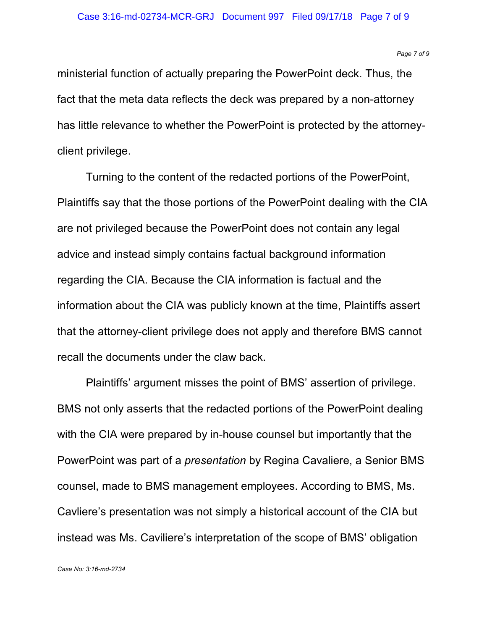*Page 7 of 9*

ministerial function of actually preparing the PowerPoint deck. Thus, the fact that the meta data reflects the deck was prepared by a non-attorney has little relevance to whether the PowerPoint is protected by the attorneyclient privilege.

Turning to the content of the redacted portions of the PowerPoint, Plaintiffs say that the those portions of the PowerPoint dealing with the CIA are not privileged because the PowerPoint does not contain any legal advice and instead simply contains factual background information regarding the CIA. Because the CIA information is factual and the information about the CIA was publicly known at the time, Plaintiffs assert that the attorney-client privilege does not apply and therefore BMS cannot recall the documents under the claw back.

Plaintiffs' argument misses the point of BMS' assertion of privilege. BMS not only asserts that the redacted portions of the PowerPoint dealing with the CIA were prepared by in-house counsel but importantly that the PowerPoint was part of a *presentation* by Regina Cavaliere, a Senior BMS counsel, made to BMS management employees. According to BMS, Ms. Cavliere's presentation was not simply a historical account of the CIA but instead was Ms. Caviliere's interpretation of the scope of BMS' obligation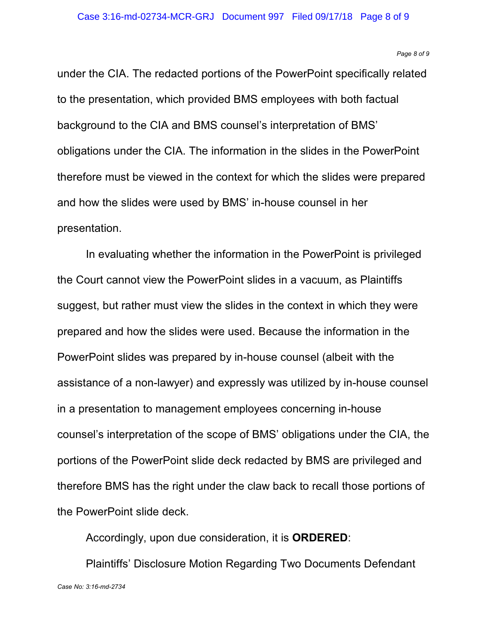*Page 8 of 9*

under the CIA. The redacted portions of the PowerPoint specifically related to the presentation, which provided BMS employees with both factual background to the CIA and BMS counsel's interpretation of BMS' obligations under the CIA. The information in the slides in the PowerPoint therefore must be viewed in the context for which the slides were prepared and how the slides were used by BMS' in-house counsel in her presentation.

In evaluating whether the information in the PowerPoint is privileged the Court cannot view the PowerPoint slides in a vacuum, as Plaintiffs suggest, but rather must view the slides in the context in which they were prepared and how the slides were used. Because the information in the PowerPoint slides was prepared by in-house counsel (albeit with the assistance of a non-lawyer) and expressly was utilized by in-house counsel in a presentation to management employees concerning in-house counsel's interpretation of the scope of BMS' obligations under the CIA, the portions of the PowerPoint slide deck redacted by BMS are privileged and therefore BMS has the right under the claw back to recall those portions of the PowerPoint slide deck.

Accordingly, upon due consideration, it is **ORDERED**:

Plaintiffs' Disclosure Motion Regarding Two Documents Defendant *Case No: 3:16-md-2734*